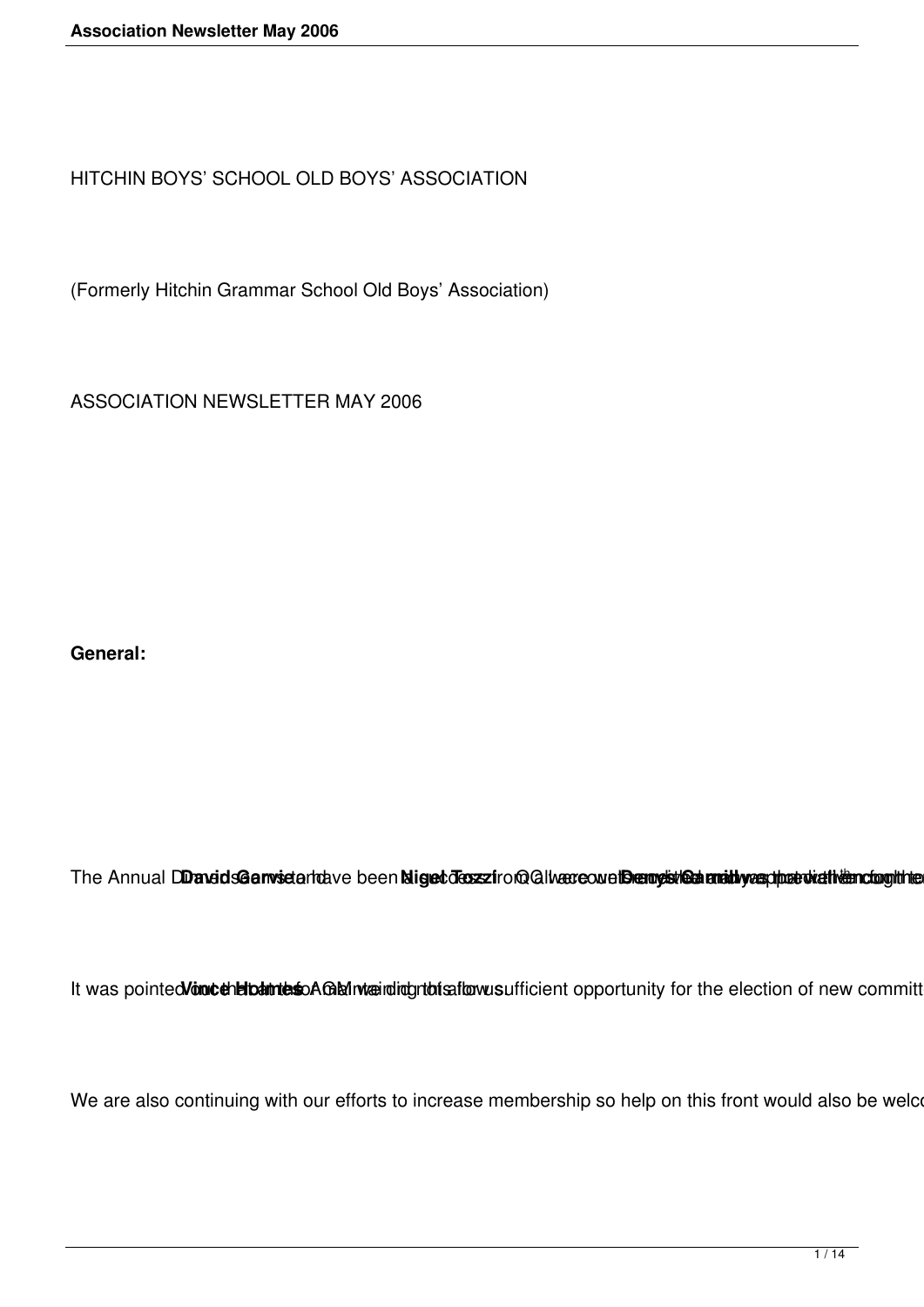HITCHIN BOYS' SCHOOL OLD BOYS' ASSOCIATION

(Formerly Hitchin Grammar School Old Boys' Association)

ASSOCIATION NEWSLETTER MAY 2006

**General:** 

The Annual DD and dsGarwistantave been Niget dessziro@ allwere own the my sine annihy exphat wath tending the

It was pointed Vont cheloantes AGM waining rto is flowns ufficient opportunity for the election of new committ

We are also continuing with our efforts to increase membership so help on this front would also be welcome. Could a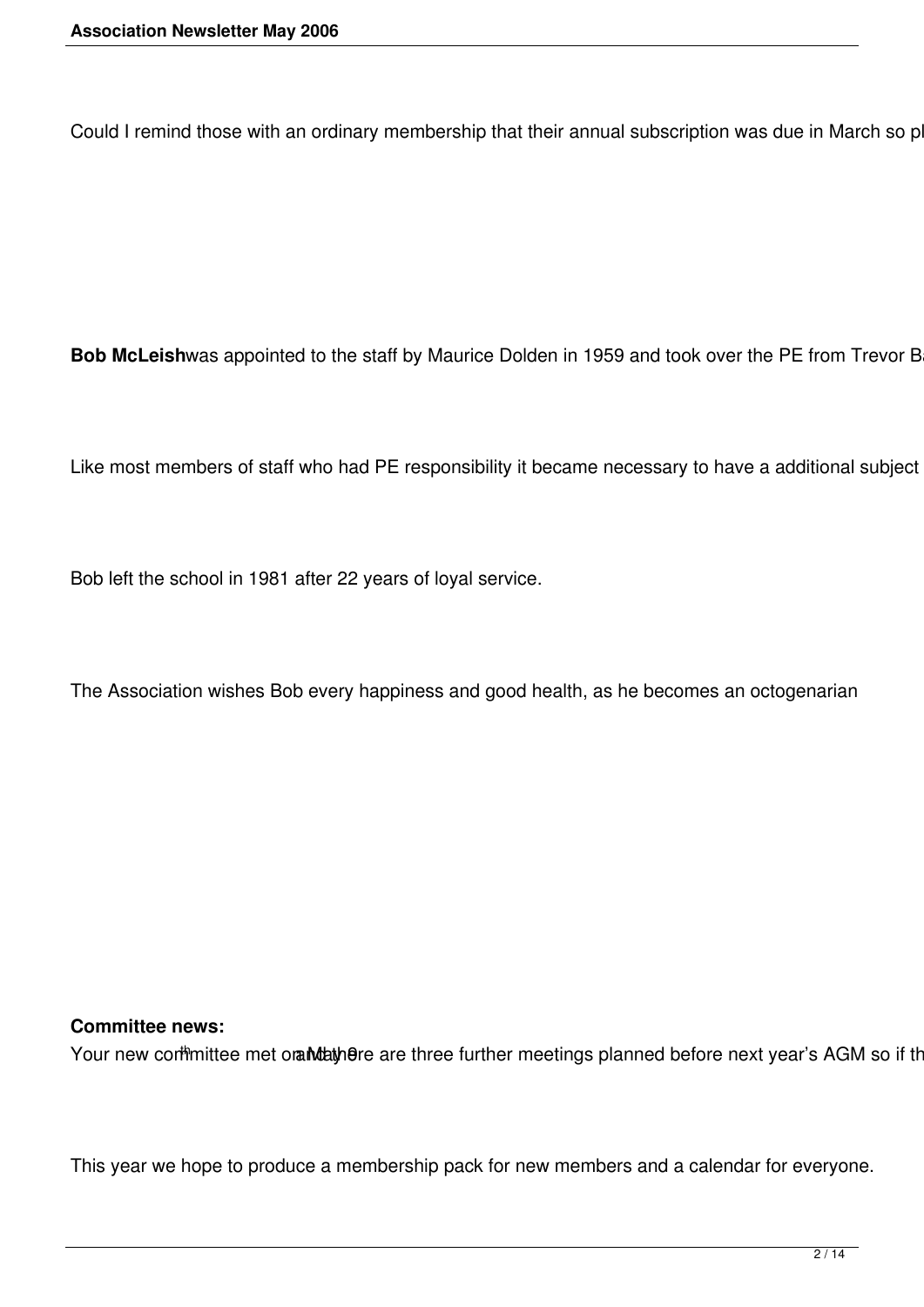Could I remind those with an ordinary membership that their annual subscription was due in March so p

Bob McLeishwas appointed to the staff by Maurice Dolden in 1959 and took over the PE from Trevor B

Like most members of staff who had PE responsibility it became necessary to have a additional subject

Bob left the school in 1981 after 22 years of loyal service.

The Association wishes Bob every happiness and good health, as he becomes an octogenarian

#### **Committee news:**

Your new cormmittee met orandathere are three further meetings planned before next year's AGM so if the

This year we hope to produce a membership pack for new members and a calendar for everyone.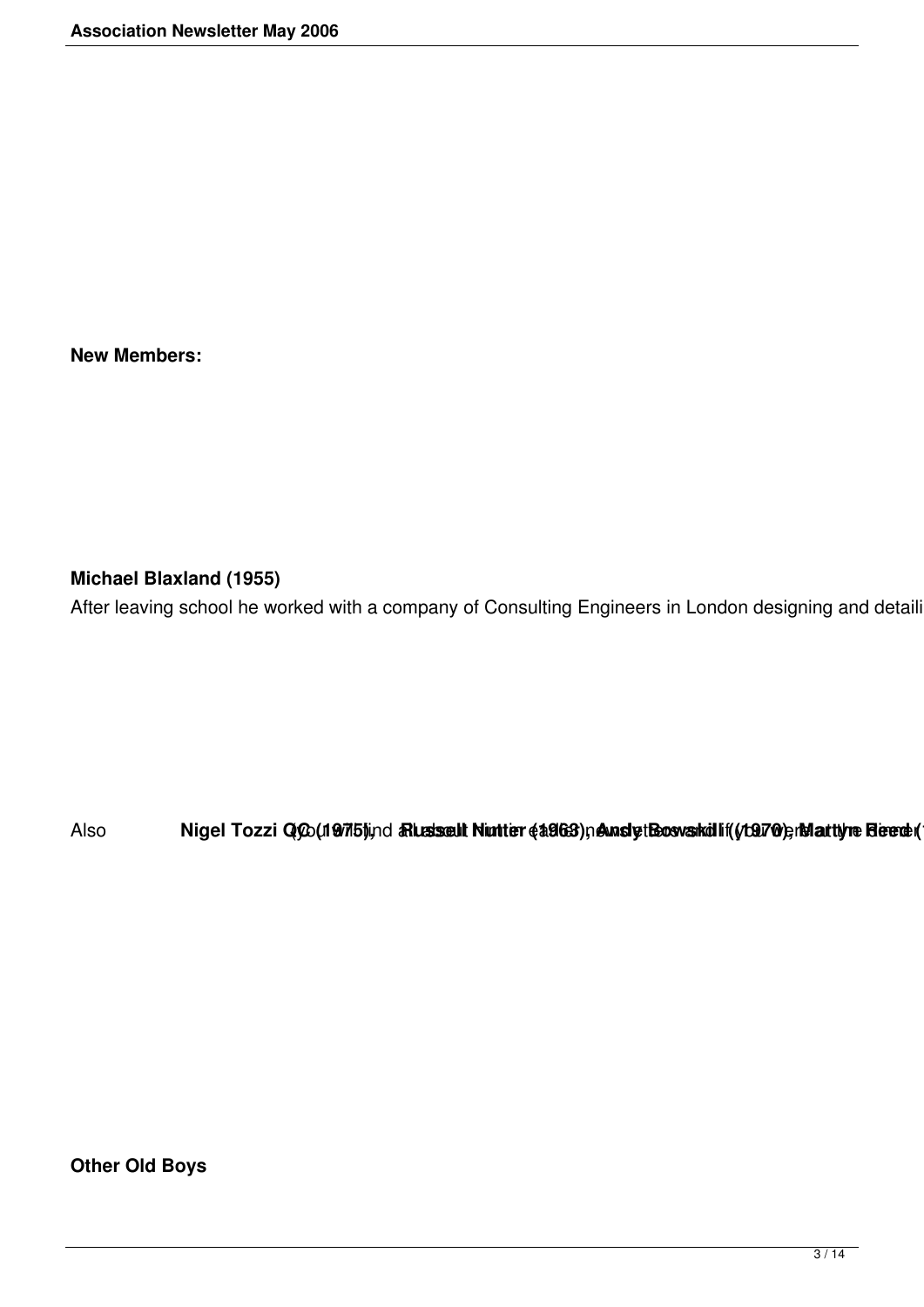**New Members:**

**Michael Blaxland (1955)** 

After leaving school he worked with a company of Consulting Engineers in London designing and detaili

Also Nigel Tozzi Q(20(19715) ind a Rusissell Nunter (1963) neunsly thos was hill (1970) and the Reed (

**Other Old Boys**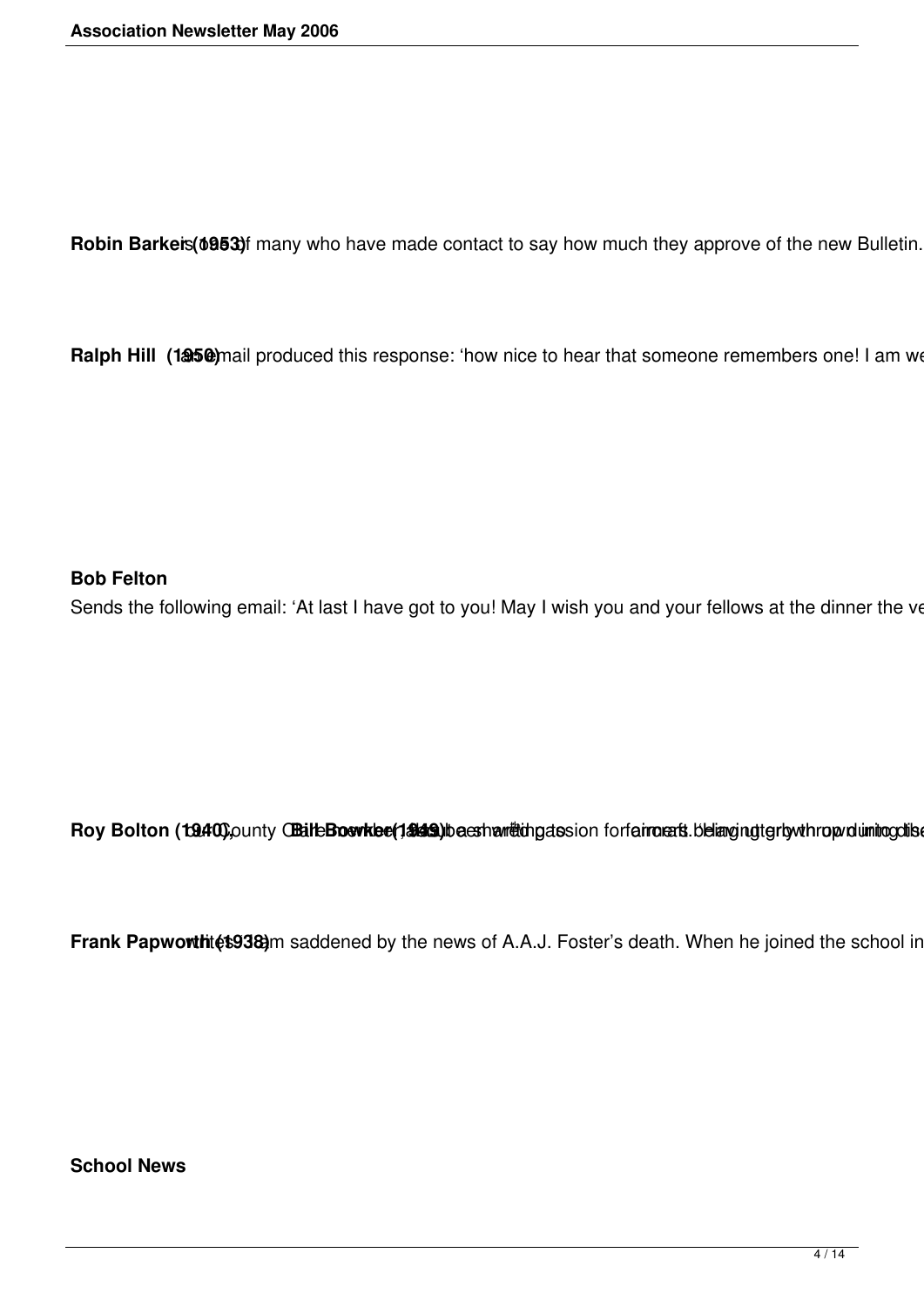Robin Barkeis(6953)f many who have made contact to say how much they approve of the new Bulletin.

Ralph Hill (1950) mail produced this response: 'how nice to hear that someone remembers one! I am we

#### **Bob Felton**

Sends the following email: 'At last I have got to you! May I wish you and your fellows at the dinner the ve

Roy Bolton (19.400) punty Chaile Boavkee (1.8149) be esthe met thing assion for fairmants. belianging terly whrop dumino collse

Frank Papworthitet938)m saddened by the news of A.A.J. Foster's death. When he joined the school in

**School News**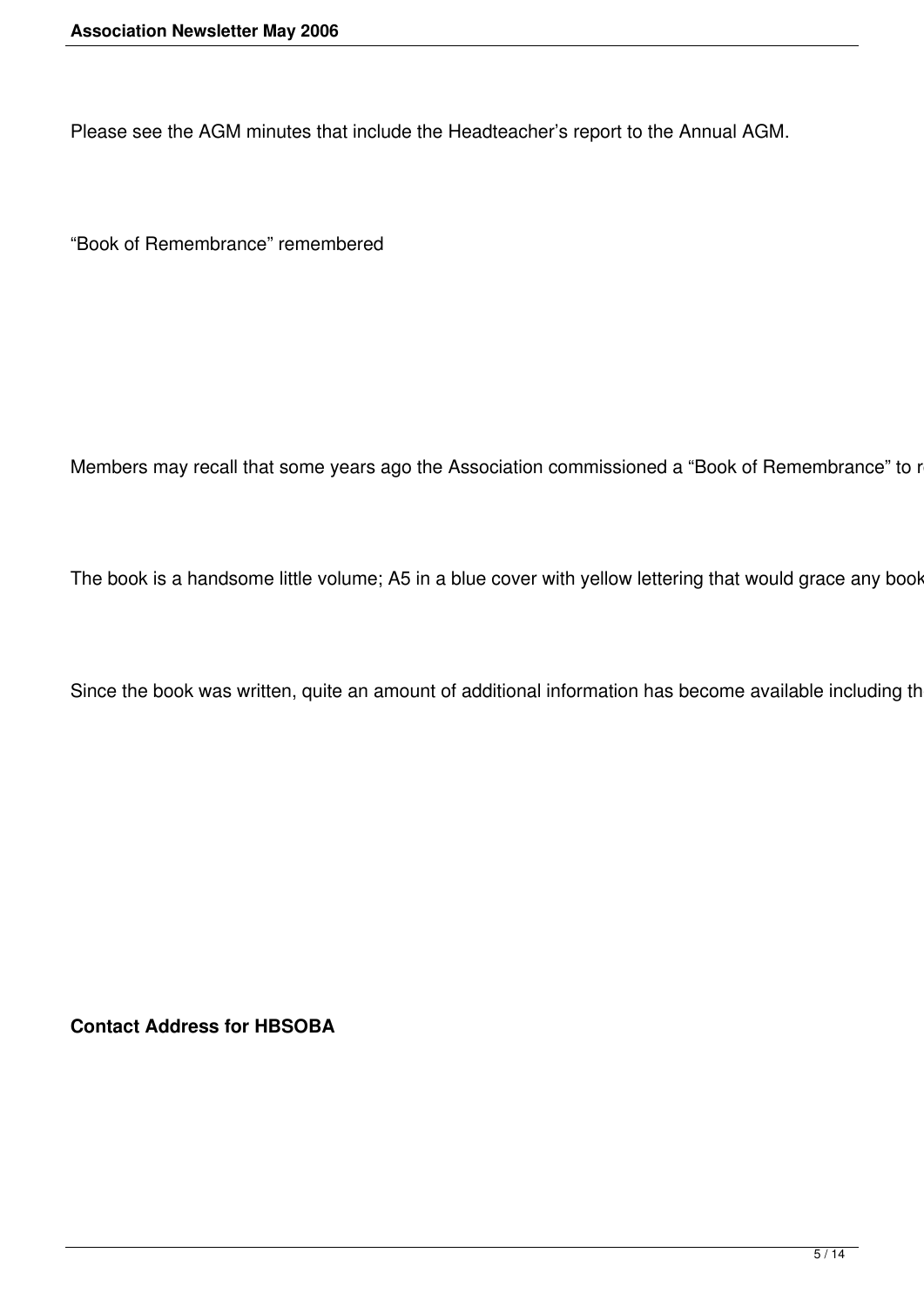Please see the AGM minutes that include the Headteacher's report to the Annual AGM.

"Book of Remembrance" remembered

Members may recall that some years ago the Association commissioned a "Book of Remembrance" to r

The book is a handsome little volume; A5 in a blue cover with yellow lettering that would grace any book

Since the book was written, quite an amount of additional information has become available including th

**Contact Address for HBSOBA**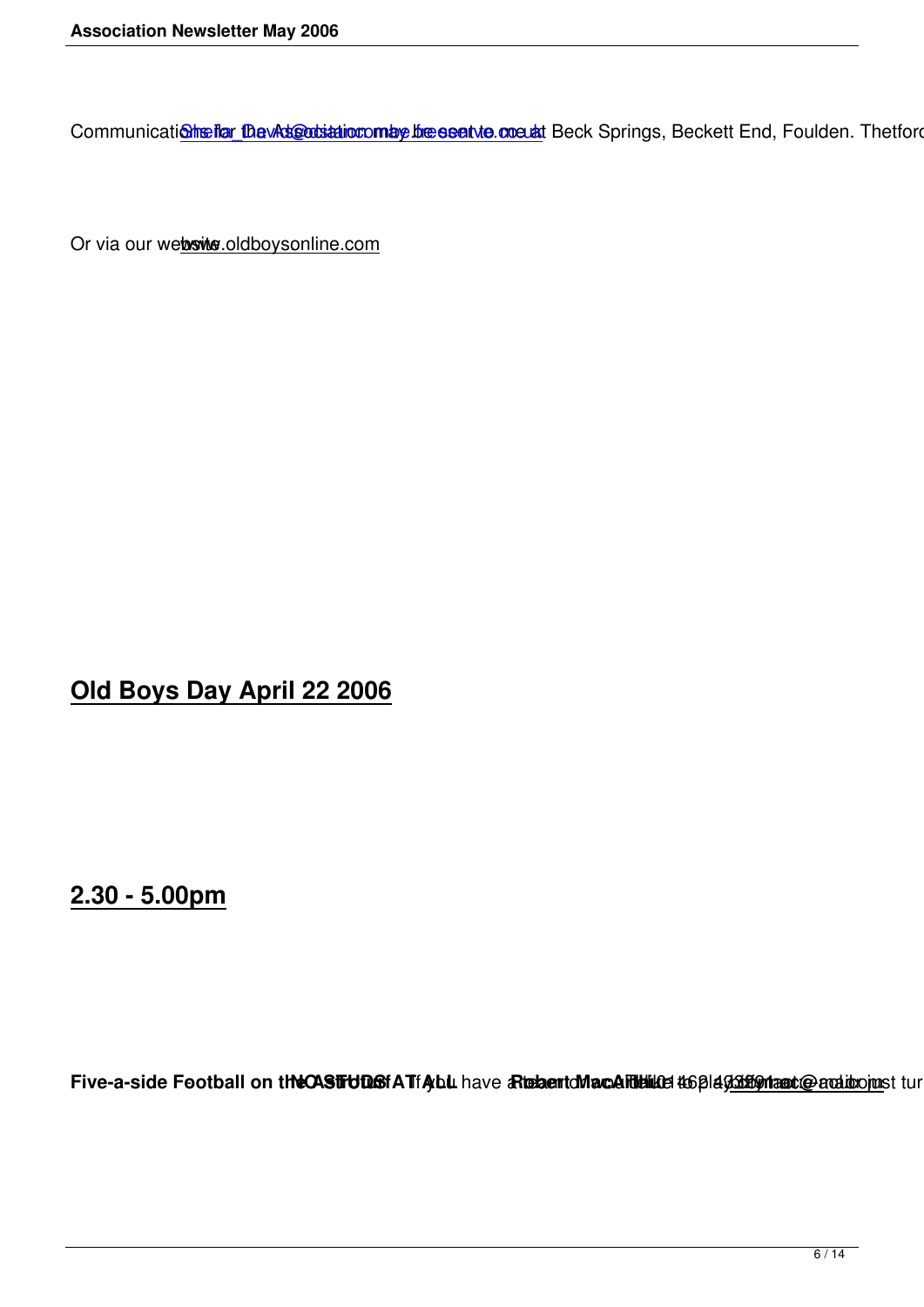Communications for the Association may be sent to me at Beck Springs, Beckett End, Foulden. Thetford. No

Or via our website oldboysonline.com

**Old Boys Day April 22 2006**

**2.30 - 5.00pm**

Five-a-side Football on the CASTFUD Bof A TfAybul have a Rusham to MacAllum Detain and the plays of antibolist turn u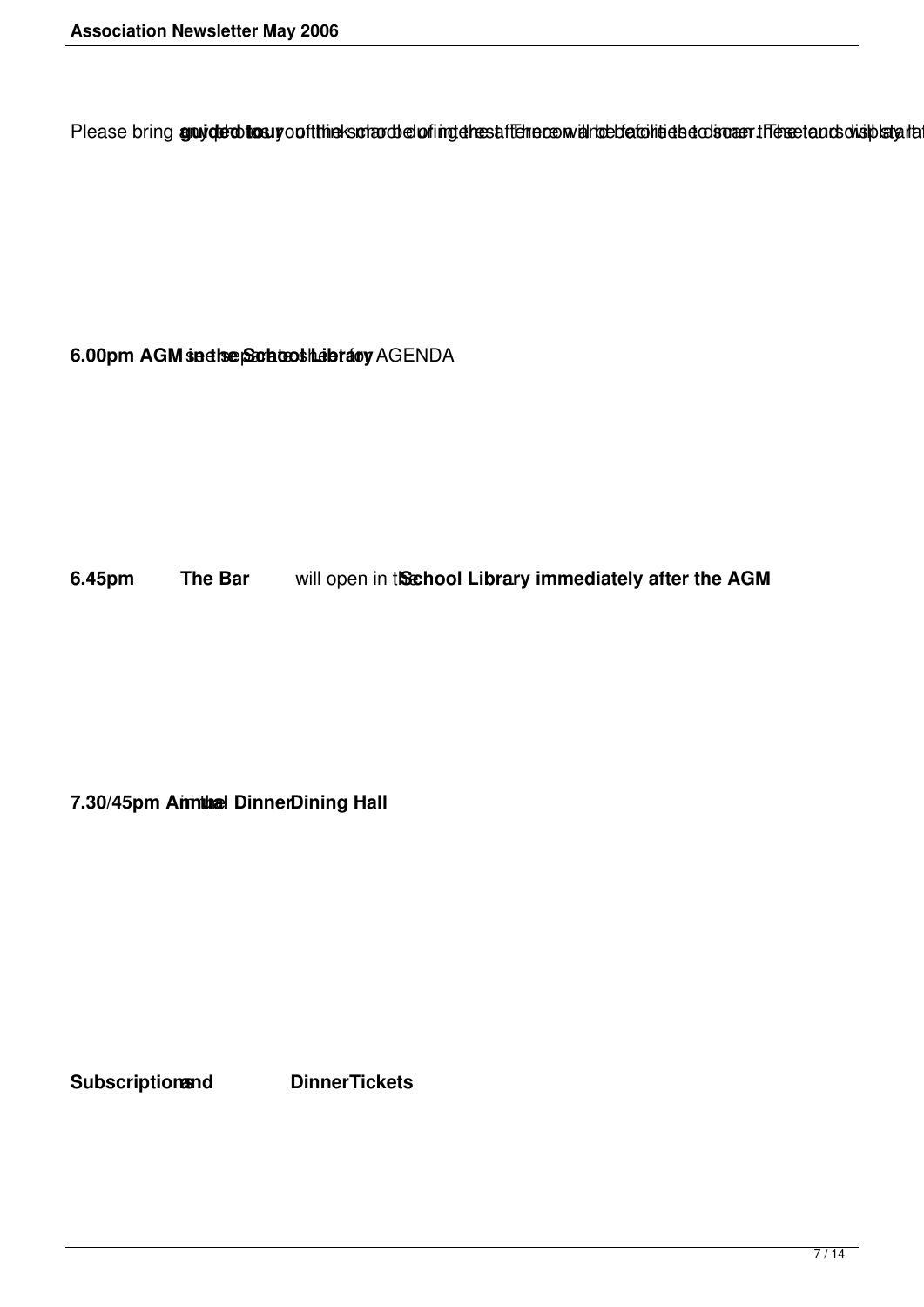Please bring gruyded tosuy out the ks of and of ingehest fielne com and rebetation detection are the sector shist started

6.00pm AGM sadhe School Lebrary AGENDA

**6.45pm The Bar** will open in the **School Library immediately after the AGM** 

**7.30/45pm Annual DinnerDining Hall** 

**Subscriptionsand DinnerTickets**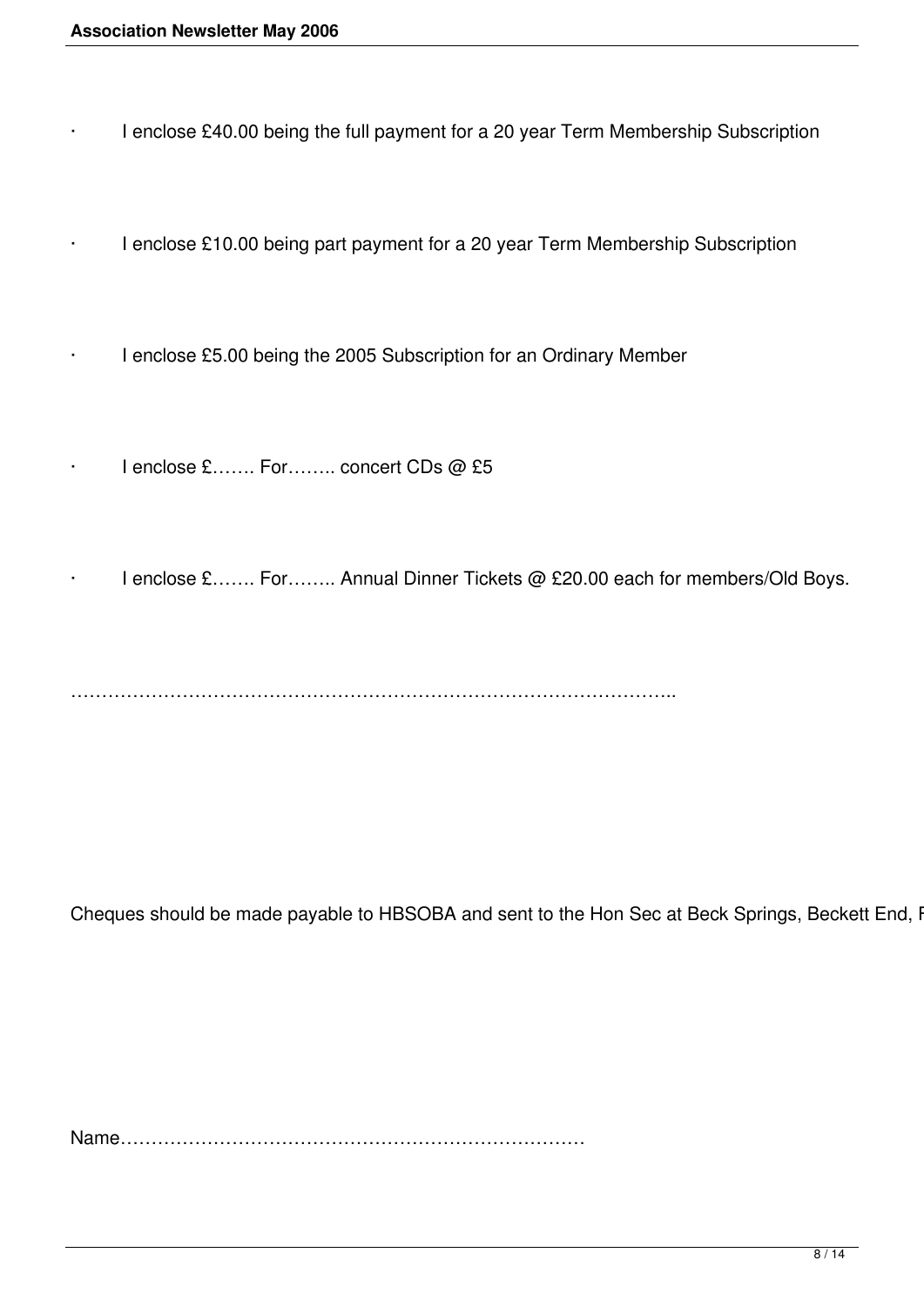- · I enclose £40.00 being the full payment for a 20 year Term Membership Subscription
- · I enclose £10.00 being part payment for a 20 year Term Membership Subscription
	- I enclose £5.00 being the 2005 Subscription for an Ordinary Member
- I enclose £……. For…….. concert CDs @ £5
- I enclose £……. For…….. Annual Dinner Tickets @ £20.00 each for members/Old Boys.

……………………………………………………………………………………..

Cheques should be made payable to HBSOBA and sent to the Hon Sec at Beck Springs, Beckett End, I

Name…………………………………………………………………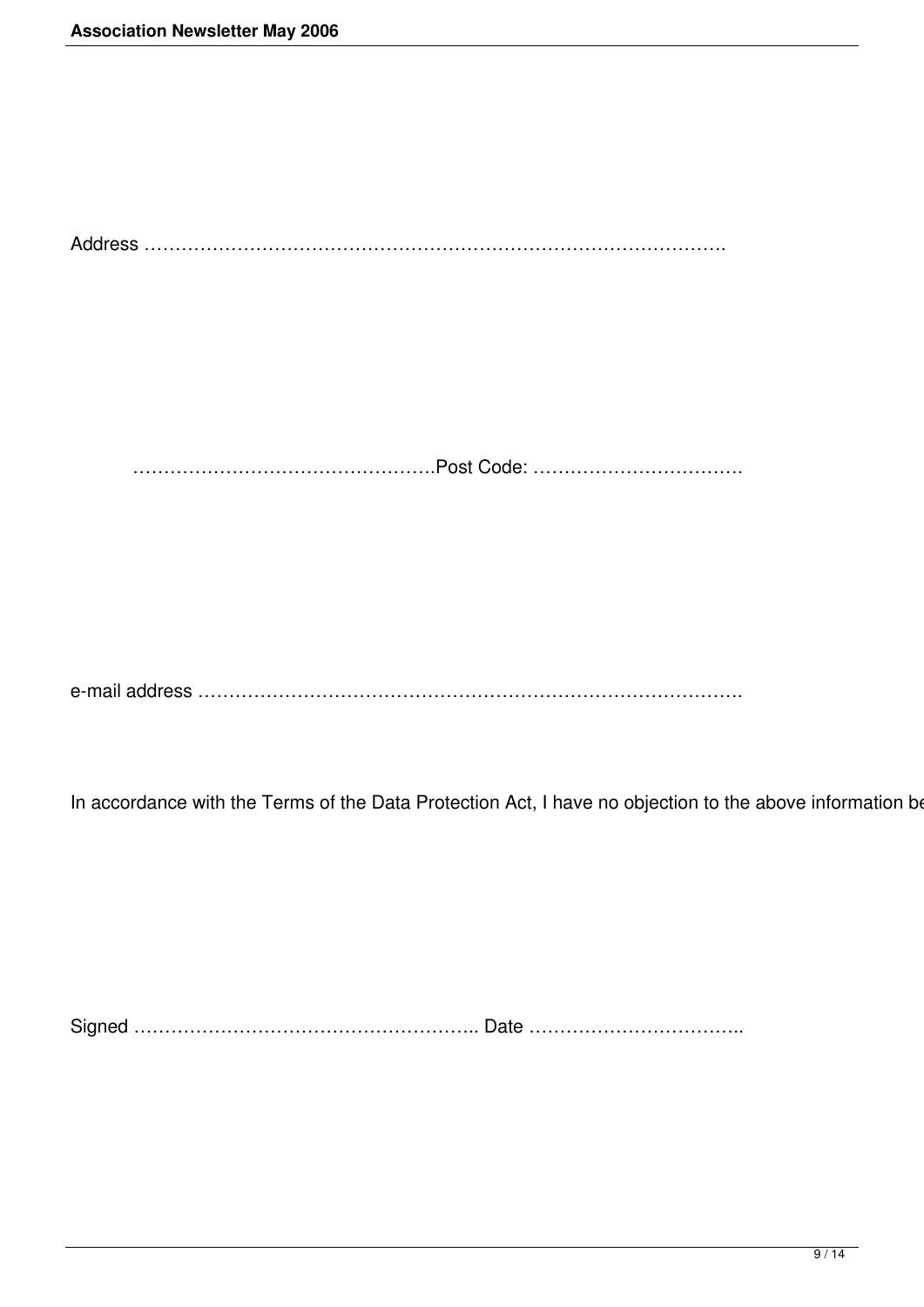Address …………………………………………………………………………………. ………………………………………….Post Code: ……………………………. e-mail address ……………………………………………………………………………. In accordance with the Terms of the Data Protection Act, I have no objection to the above information be

Signed ……………………………………………….. Date ……………………………..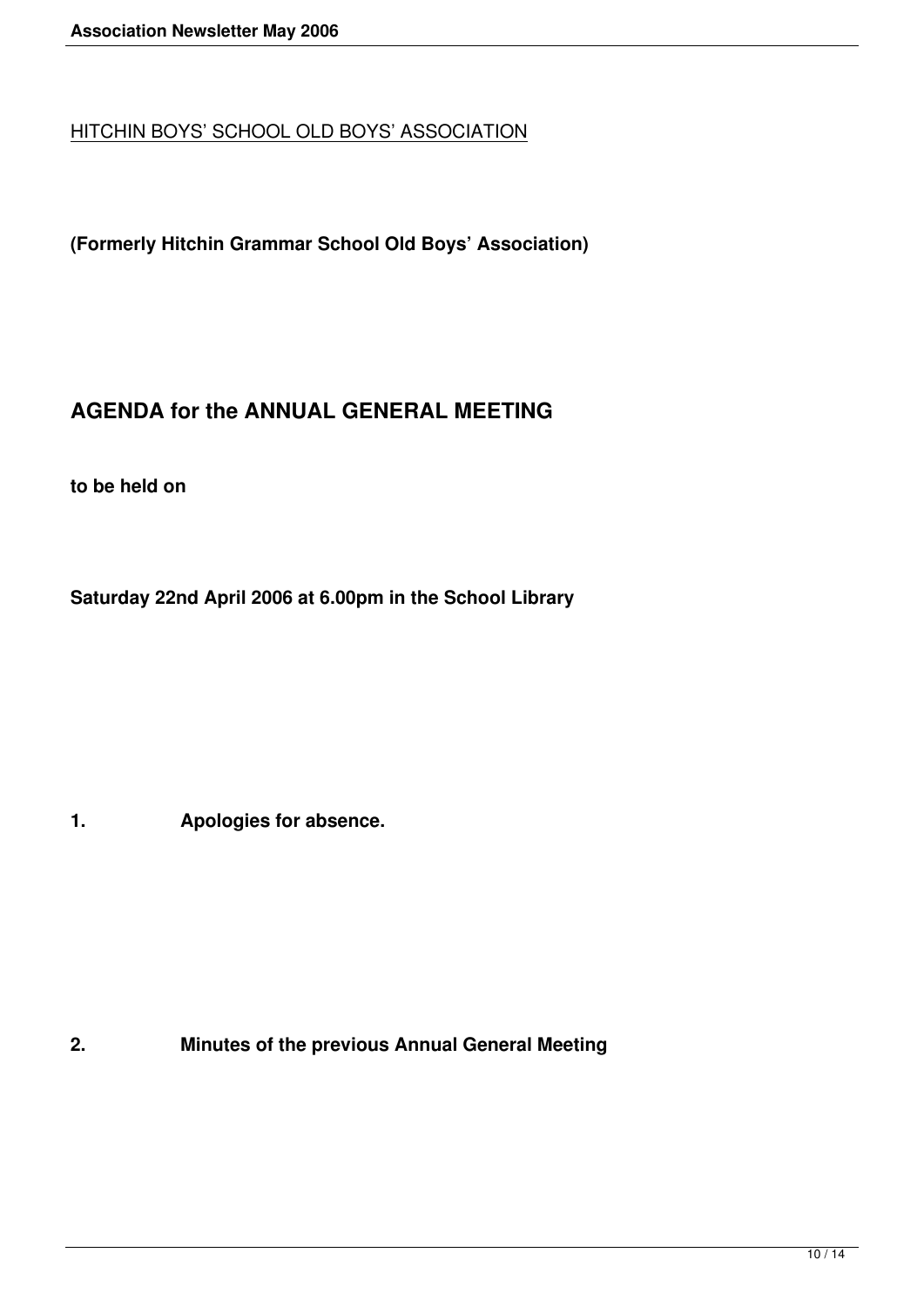## HITCHIN BOYS' SCHOOL OLD BOYS' ASSOCIATION

**(Formerly Hitchin Grammar School Old Boys' Association)**

## **AGENDA for the ANNUAL GENERAL MEETING**

**to be held on**

**Saturday 22nd April 2006 at 6.00pm in the School Library**

**1. Apologies for absence.**

**2. Minutes of the previous Annual General Meeting**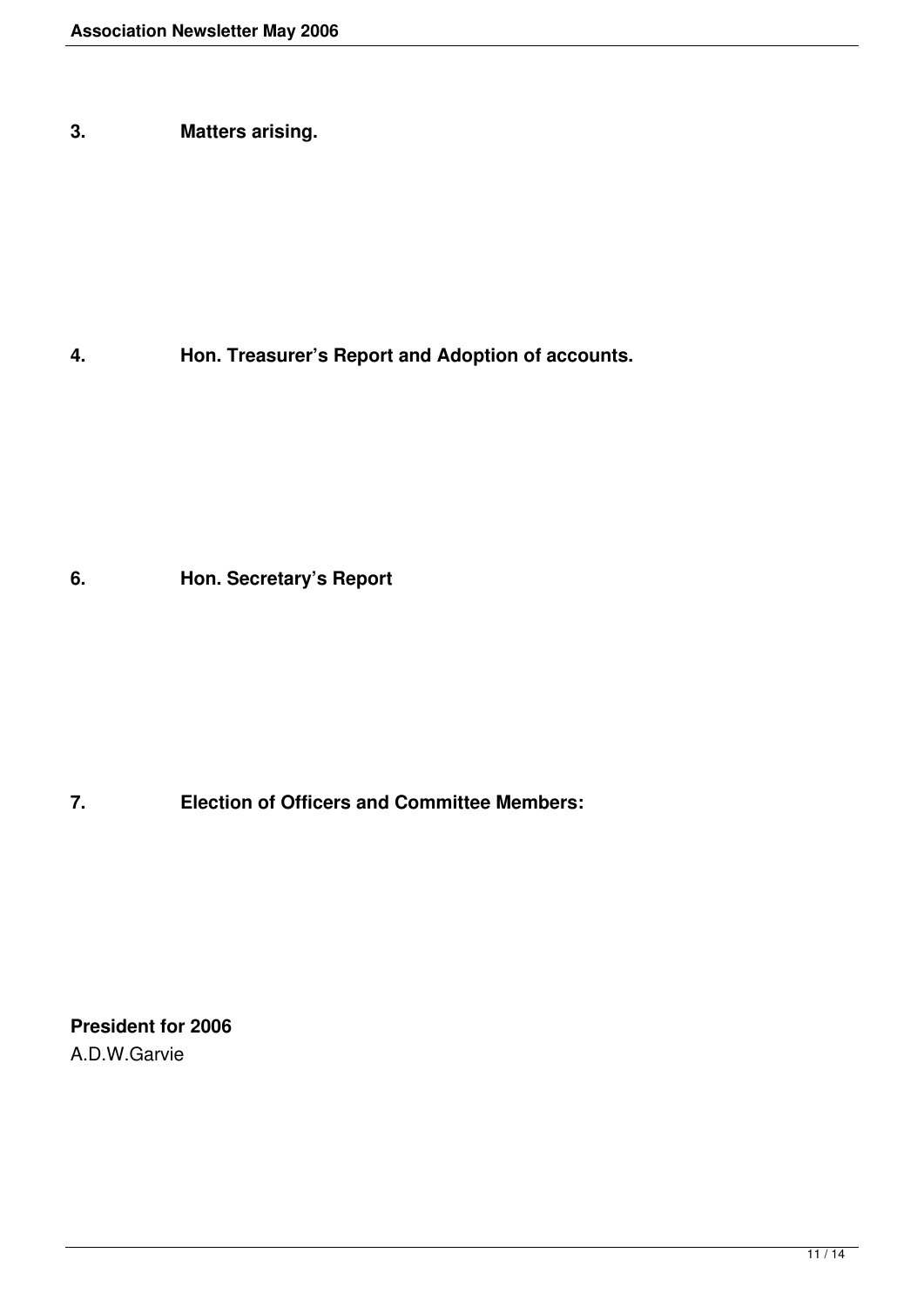**3. Matters arising.**

**4. Hon. Treasurer's Report and Adoption of accounts.**

**6. Hon. Secretary's Report**

**7. Election of Officers and Committee Members:**

**President for 2006** A.D.W.Garvie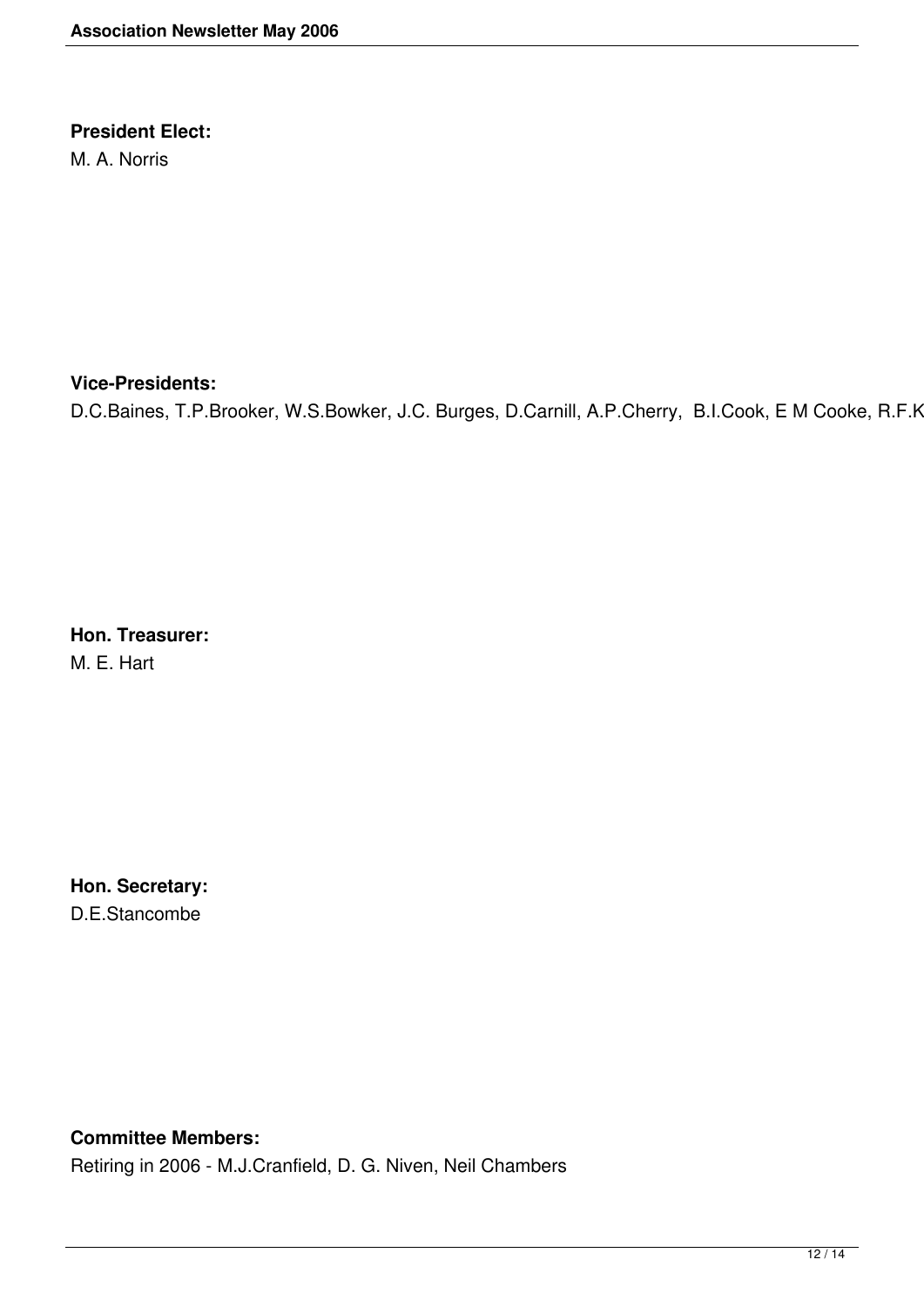## **President Elect:**

M. A. Norris

#### **Vice-Presidents:**

D.C.Baines, T.P.Brooker, W.S.Bowker, J.C. Burges, D.Carnill, A.P.Cherry, B.I.Cook, E M Cooke, R.F.K

**Hon. Treasurer:** M. E. Hart

**Hon. Secretary:** D.E.Stancombe

### **Committee Members:**

Retiring in 2006 - M.J.Cranfield, D. G. Niven, Neil Chambers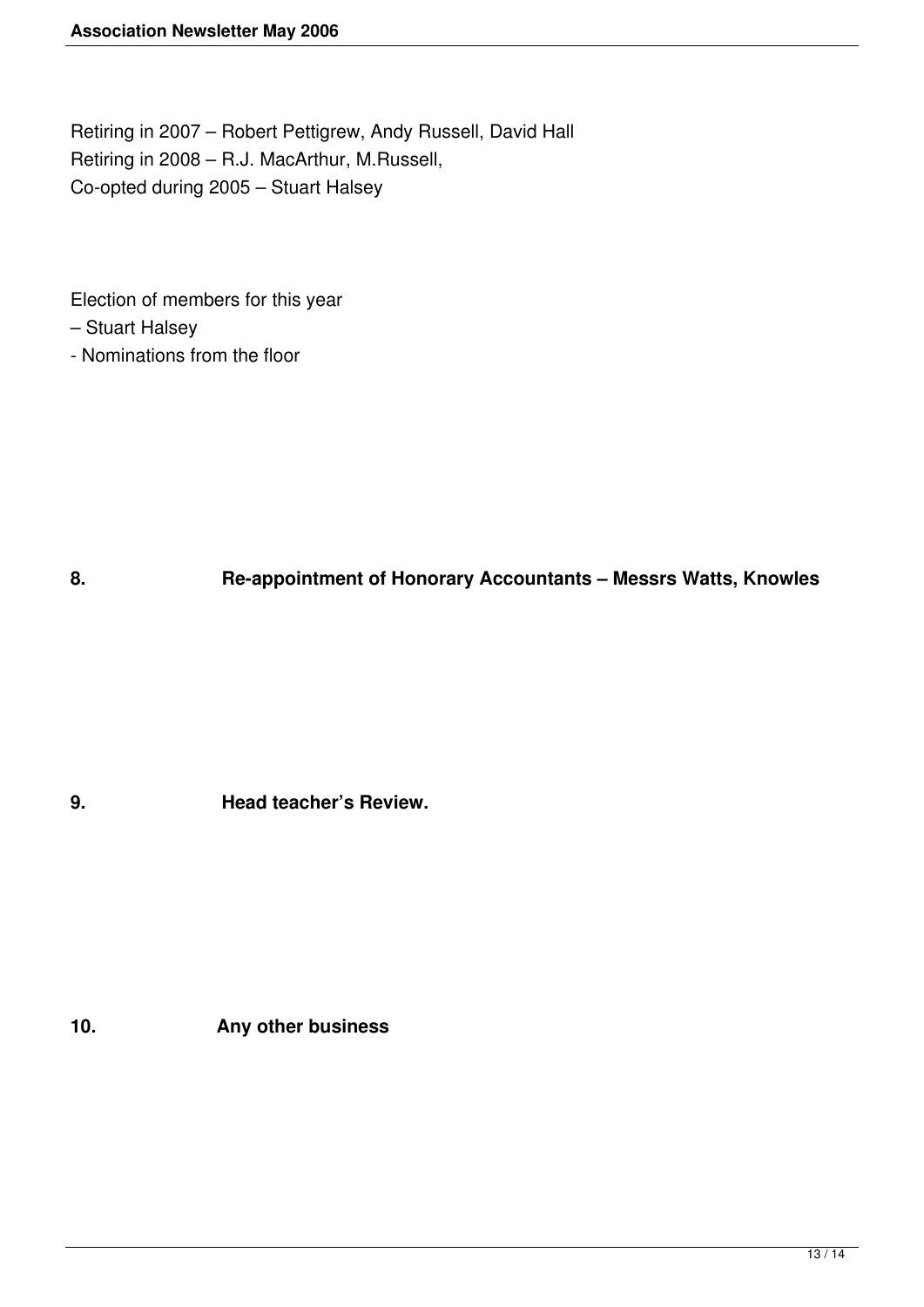Retiring in 2007 – Robert Pettigrew, Andy Russell, David Hall Retiring in 2008 – R.J. MacArthur, M.Russell, Co-opted during 2005 – Stuart Halsey

Election of members for this year

- Stuart Halsey
- Nominations from the floor

**8. Re-appointment of Honorary Accountants – Messrs Watts, Knowles**

**9. Head teacher's Review.**

**10. Any other business**